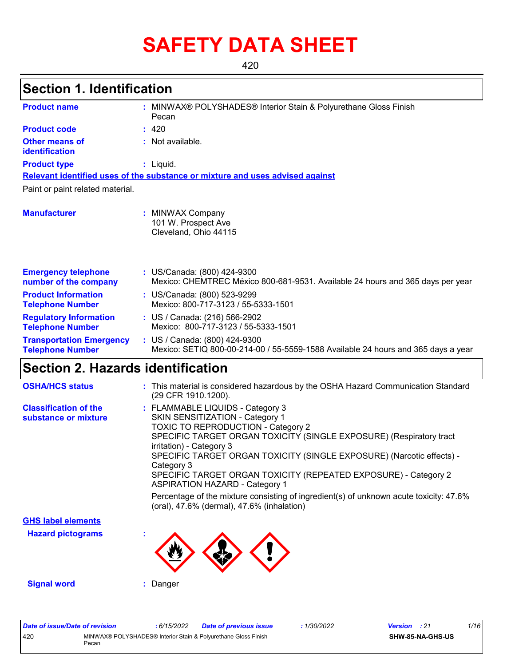# **SAFETY DATA SHEET**

420

## **Section 1. Identification**

| : MINWAX® POLYSHADES® Interior Stain & Polyurethane Gloss Finish<br><b>Product name</b><br>Pecan |  |                                                                                                                    |  |  |  |  |
|--------------------------------------------------------------------------------------------------|--|--------------------------------------------------------------------------------------------------------------------|--|--|--|--|
| <b>Product code</b>                                                                              |  | : 420                                                                                                              |  |  |  |  |
| <b>Other means of</b><br>identification                                                          |  | : Not available.                                                                                                   |  |  |  |  |
| <b>Product type</b>                                                                              |  | $:$ Liquid.                                                                                                        |  |  |  |  |
|                                                                                                  |  | Relevant identified uses of the substance or mixture and uses advised against                                      |  |  |  |  |
| Paint or paint related material.                                                                 |  |                                                                                                                    |  |  |  |  |
| <b>Manufacturer</b>                                                                              |  | <b>MINWAX Company</b><br>101 W. Prospect Ave<br>Cleveland, Ohio 44115                                              |  |  |  |  |
| <b>Emergency telephone</b><br>number of the company                                              |  | : US/Canada: (800) 424-9300<br>Mexico: CHEMTREC México 800-681-9531. Available 24 hours and 365 days per year      |  |  |  |  |
| <b>Product Information</b><br><b>Telephone Number</b>                                            |  | : US/Canada: (800) 523-9299<br>Mexico: 800-717-3123 / 55-5333-1501                                                 |  |  |  |  |
| <b>Regulatory Information</b><br><b>Telephone Number</b>                                         |  | : US / Canada: (216) 566-2902<br>Mexico: 800-717-3123 / 55-5333-1501                                               |  |  |  |  |
| <b>Transportation Emergency</b><br><b>Telephone Number</b>                                       |  | : US / Canada: (800) 424-9300<br>Mexico: SETIQ 800-00-214-00 / 55-5559-1588 Available 24 hours and 365 days a year |  |  |  |  |

## **Section 2. Hazards identification**

| <b>OSHA/HCS status</b>                               | : This material is considered hazardous by the OSHA Hazard Communication Standard<br>(29 CFR 1910.1200).                                                                                                                                                                                                                                                                                                                                                                                                                                                |
|------------------------------------------------------|---------------------------------------------------------------------------------------------------------------------------------------------------------------------------------------------------------------------------------------------------------------------------------------------------------------------------------------------------------------------------------------------------------------------------------------------------------------------------------------------------------------------------------------------------------|
| <b>Classification of the</b><br>substance or mixture | : FLAMMABLE LIQUIDS - Category 3<br>SKIN SENSITIZATION - Category 1<br>TOXIC TO REPRODUCTION - Category 2<br>SPECIFIC TARGET ORGAN TOXICITY (SINGLE EXPOSURE) (Respiratory tract<br>irritation) - Category 3<br>SPECIFIC TARGET ORGAN TOXICITY (SINGLE EXPOSURE) (Narcotic effects) -<br>Category 3<br>SPECIFIC TARGET ORGAN TOXICITY (REPEATED EXPOSURE) - Category 2<br><b>ASPIRATION HAZARD - Category 1</b><br>Percentage of the mixture consisting of ingredient(s) of unknown acute toxicity: 47.6%<br>(oral), 47.6% (dermal), 47.6% (inhalation) |
| <b>GHS label elements</b>                            |                                                                                                                                                                                                                                                                                                                                                                                                                                                                                                                                                         |
| <b>Hazard pictograms</b>                             | $\mathbf{r}$                                                                                                                                                                                                                                                                                                                                                                                                                                                                                                                                            |
| <b>Signal word</b>                                   | Danger                                                                                                                                                                                                                                                                                                                                                                                                                                                                                                                                                  |

| Date of issue/Date of revision |       | : 6/15/2022 | <b>Date of previous issue</b>                                  | 1/30/2022 | <b>Version</b> : 21 |                         | 1/16 |  |
|--------------------------------|-------|-------------|----------------------------------------------------------------|-----------|---------------------|-------------------------|------|--|
| 420                            | Pecan |             | MINWAX® POLYSHADES® Interior Stain & Polyurethane Gloss Finish |           |                     | <b>SHW-85-NA-GHS-US</b> |      |  |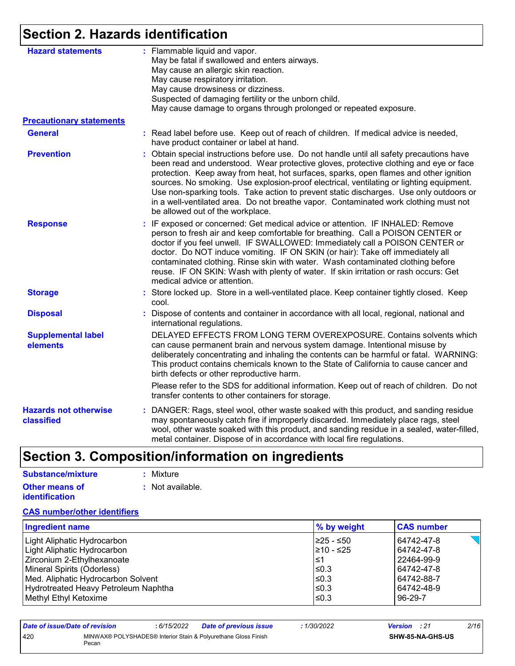## **Section 2. Hazards identification**

| <b>Hazard statements</b>                   | : Flammable liquid and vapor.<br>May be fatal if swallowed and enters airways.                                                                                                                                                                                                                                                                                                                                                                                                                                                                                                             |
|--------------------------------------------|--------------------------------------------------------------------------------------------------------------------------------------------------------------------------------------------------------------------------------------------------------------------------------------------------------------------------------------------------------------------------------------------------------------------------------------------------------------------------------------------------------------------------------------------------------------------------------------------|
|                                            | May cause an allergic skin reaction.                                                                                                                                                                                                                                                                                                                                                                                                                                                                                                                                                       |
|                                            | May cause respiratory irritation.                                                                                                                                                                                                                                                                                                                                                                                                                                                                                                                                                          |
|                                            | May cause drowsiness or dizziness.                                                                                                                                                                                                                                                                                                                                                                                                                                                                                                                                                         |
|                                            | Suspected of damaging fertility or the unborn child.                                                                                                                                                                                                                                                                                                                                                                                                                                                                                                                                       |
|                                            | May cause damage to organs through prolonged or repeated exposure.                                                                                                                                                                                                                                                                                                                                                                                                                                                                                                                         |
| <b>Precautionary statements</b>            |                                                                                                                                                                                                                                                                                                                                                                                                                                                                                                                                                                                            |
| <b>General</b>                             | : Read label before use. Keep out of reach of children. If medical advice is needed,<br>have product container or label at hand.                                                                                                                                                                                                                                                                                                                                                                                                                                                           |
| <b>Prevention</b>                          | Obtain special instructions before use. Do not handle until all safety precautions have<br>been read and understood. Wear protective gloves, protective clothing and eye or face<br>protection. Keep away from heat, hot surfaces, sparks, open flames and other ignition<br>sources. No smoking. Use explosion-proof electrical, ventilating or lighting equipment.<br>Use non-sparking tools. Take action to prevent static discharges. Use only outdoors or<br>in a well-ventilated area. Do not breathe vapor. Contaminated work clothing must not<br>be allowed out of the workplace. |
| <b>Response</b>                            | : IF exposed or concerned: Get medical advice or attention. IF INHALED: Remove<br>person to fresh air and keep comfortable for breathing. Call a POISON CENTER or<br>doctor if you feel unwell. IF SWALLOWED: Immediately call a POISON CENTER or<br>doctor. Do NOT induce vomiting. IF ON SKIN (or hair): Take off immediately all<br>contaminated clothing. Rinse skin with water. Wash contaminated clothing before<br>reuse. IF ON SKIN: Wash with plenty of water. If skin irritation or rash occurs: Get<br>medical advice or attention.                                             |
| <b>Storage</b>                             | : Store locked up. Store in a well-ventilated place. Keep container tightly closed. Keep<br>cool.                                                                                                                                                                                                                                                                                                                                                                                                                                                                                          |
| <b>Disposal</b>                            | Dispose of contents and container in accordance with all local, regional, national and<br>international regulations.                                                                                                                                                                                                                                                                                                                                                                                                                                                                       |
| <b>Supplemental label</b><br>elements      | DELAYED EFFECTS FROM LONG TERM OVEREXPOSURE. Contains solvents which<br>can cause permanent brain and nervous system damage. Intentional misuse by<br>deliberately concentrating and inhaling the contents can be harmful or fatal. WARNING:<br>This product contains chemicals known to the State of California to cause cancer and<br>birth defects or other reproductive harm.                                                                                                                                                                                                          |
|                                            | Please refer to the SDS for additional information. Keep out of reach of children. Do not<br>transfer contents to other containers for storage.                                                                                                                                                                                                                                                                                                                                                                                                                                            |
| <b>Hazards not otherwise</b><br>classified | : DANGER: Rags, steel wool, other waste soaked with this product, and sanding residue<br>may spontaneously catch fire if improperly discarded. Immediately place rags, steel<br>wool, other waste soaked with this product, and sanding residue in a sealed, water-filled,<br>metal container. Dispose of in accordance with local fire regulations.                                                                                                                                                                                                                                       |

## **Section 3. Composition/information on ingredients**

| <b>Substance/mixture</b> | : Mixture        |
|--------------------------|------------------|
| <b>Other means of</b>    | : Not available. |
| <b>identification</b>    |                  |

#### **CAS number/other identifiers**

| <b>Ingredient name</b>               | % by weight | <b>CAS number</b> |
|--------------------------------------|-------------|-------------------|
| Light Aliphatic Hydrocarbon          | I≥25 - ≤50  | 64742-47-8        |
| Light Aliphatic Hydrocarbon          | 1≥10 - ≤25  | 64742-47-8        |
| Zirconium 2-Ethylhexanoate           | l≤1         | 22464-99-9        |
| Mineral Spirits (Odorless)           | $\leq 0.3$  | 64742-47-8        |
| Med. Aliphatic Hydrocarbon Solvent   | ≤0.3        | 64742-88-7        |
| Hydrotreated Heavy Petroleum Naphtha | ≤0.3        | 64742-48-9        |
| Methyl Ethyl Ketoxime                | $\leq$ 0.3  | 96-29-7           |

| Date of issue/Date of revision |       | : 6/15/2022 | <b>Date of previous issue</b>                                  | : 1/30/2022 | <b>Version</b> : 21 |                         | 2/16 |
|--------------------------------|-------|-------------|----------------------------------------------------------------|-------------|---------------------|-------------------------|------|
| 420                            | Pecan |             | MINWAX® POLYSHADES® Interior Stain & Polvurethane Gloss Finish |             |                     | <b>SHW-85-NA-GHS-US</b> |      |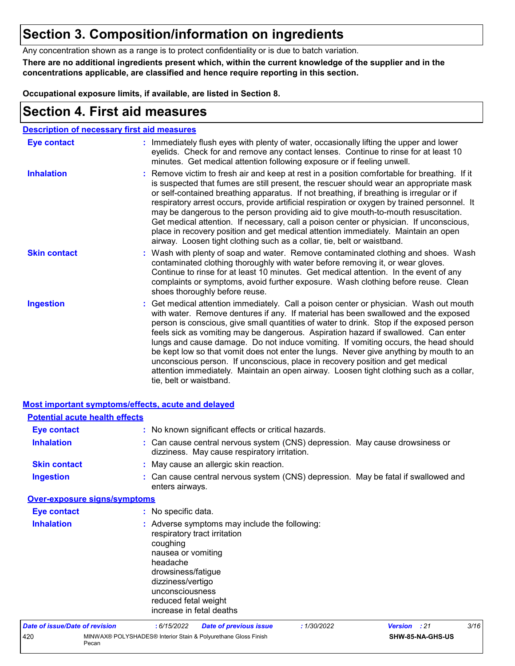## **Section 3. Composition/information on ingredients**

Any concentration shown as a range is to protect confidentiality or is due to batch variation.

**There are no additional ingredients present which, within the current knowledge of the supplier and in the concentrations applicable, are classified and hence require reporting in this section.**

**Occupational exposure limits, if available, are listed in Section 8.**

## **Section 4. First aid measures**

Pecan

| <b>Description of necessary first aid measures</b> |                                                                                                                                                                                                                                                                                                                                                                                                                                                                                                                                                                                                                                                                                                                                                         |
|----------------------------------------------------|---------------------------------------------------------------------------------------------------------------------------------------------------------------------------------------------------------------------------------------------------------------------------------------------------------------------------------------------------------------------------------------------------------------------------------------------------------------------------------------------------------------------------------------------------------------------------------------------------------------------------------------------------------------------------------------------------------------------------------------------------------|
| <b>Eye contact</b>                                 | : Immediately flush eyes with plenty of water, occasionally lifting the upper and lower<br>eyelids. Check for and remove any contact lenses. Continue to rinse for at least 10<br>minutes. Get medical attention following exposure or if feeling unwell.                                                                                                                                                                                                                                                                                                                                                                                                                                                                                               |
| <b>Inhalation</b>                                  | : Remove victim to fresh air and keep at rest in a position comfortable for breathing. If it<br>is suspected that fumes are still present, the rescuer should wear an appropriate mask<br>or self-contained breathing apparatus. If not breathing, if breathing is irregular or if<br>respiratory arrest occurs, provide artificial respiration or oxygen by trained personnel. It<br>may be dangerous to the person providing aid to give mouth-to-mouth resuscitation.<br>Get medical attention. If necessary, call a poison center or physician. If unconscious,<br>place in recovery position and get medical attention immediately. Maintain an open<br>airway. Loosen tight clothing such as a collar, tie, belt or waistband.                    |
| <b>Skin contact</b>                                | : Wash with plenty of soap and water. Remove contaminated clothing and shoes. Wash<br>contaminated clothing thoroughly with water before removing it, or wear gloves.<br>Continue to rinse for at least 10 minutes. Get medical attention. In the event of any<br>complaints or symptoms, avoid further exposure. Wash clothing before reuse. Clean<br>shoes thoroughly before reuse.                                                                                                                                                                                                                                                                                                                                                                   |
| <b>Ingestion</b>                                   | : Get medical attention immediately. Call a poison center or physician. Wash out mouth<br>with water. Remove dentures if any. If material has been swallowed and the exposed<br>person is conscious, give small quantities of water to drink. Stop if the exposed person<br>feels sick as vomiting may be dangerous. Aspiration hazard if swallowed. Can enter<br>lungs and cause damage. Do not induce vomiting. If vomiting occurs, the head should<br>be kept low so that vomit does not enter the lungs. Never give anything by mouth to an<br>unconscious person. If unconscious, place in recovery position and get medical<br>attention immediately. Maintain an open airway. Loosen tight clothing such as a collar,<br>tie, belt or waistband. |

| Most important symptoms/effects, acute and delayed |                                                                                                                                                              |                                                                                                                              |             |              |                  |      |
|----------------------------------------------------|--------------------------------------------------------------------------------------------------------------------------------------------------------------|------------------------------------------------------------------------------------------------------------------------------|-------------|--------------|------------------|------|
| <b>Potential acute health effects</b>              |                                                                                                                                                              |                                                                                                                              |             |              |                  |      |
| <b>Eye contact</b>                                 |                                                                                                                                                              | : No known significant effects or critical hazards.                                                                          |             |              |                  |      |
| <b>Inhalation</b>                                  |                                                                                                                                                              | : Can cause central nervous system (CNS) depression. May cause drowsiness or<br>dizziness. May cause respiratory irritation. |             |              |                  |      |
| <b>Skin contact</b>                                |                                                                                                                                                              | : May cause an allergic skin reaction.                                                                                       |             |              |                  |      |
| <b>Ingestion</b>                                   | enters airways.                                                                                                                                              | : Can cause central nervous system (CNS) depression. May be fatal if swallowed and                                           |             |              |                  |      |
| <b>Over-exposure signs/symptoms</b>                |                                                                                                                                                              |                                                                                                                              |             |              |                  |      |
| <b>Eye contact</b>                                 | : No specific data.                                                                                                                                          |                                                                                                                              |             |              |                  |      |
| <b>Inhalation</b>                                  | coughing<br>nausea or vomiting<br>headache<br>drowsiness/fatigue<br>dizziness/vertigo<br>unconsciousness<br>reduced fetal weight<br>increase in fetal deaths | : Adverse symptoms may include the following:<br>respiratory tract irritation                                                |             |              |                  |      |
| <b>Date of issue/Date of revision</b>              | :6/15/2022                                                                                                                                                   | <b>Date of previous issue</b>                                                                                                | : 1/30/2022 | Version : 21 |                  | 3/16 |
| 420                                                |                                                                                                                                                              | MINWAX® POLYSHADES® Interior Stain & Polyurethane Gloss Finish                                                               |             |              | SHW-85-NA-GHS-US |      |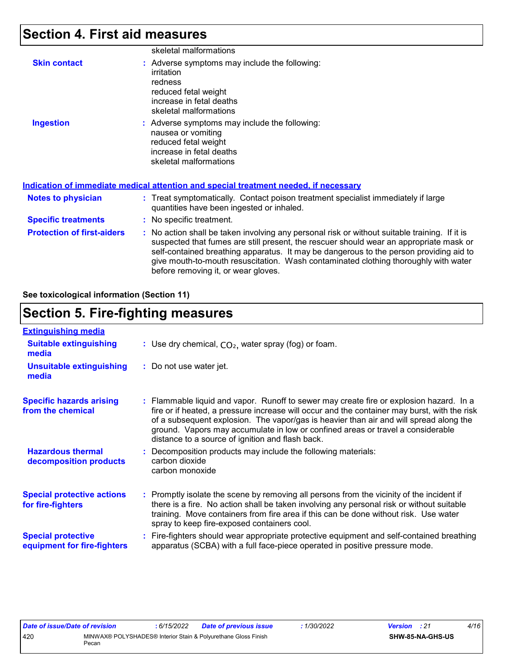## **Section 4. First aid measures**

|                                   | skeletal malformations                                                                                                                                                                                                                                                                                                                                                                                          |
|-----------------------------------|-----------------------------------------------------------------------------------------------------------------------------------------------------------------------------------------------------------------------------------------------------------------------------------------------------------------------------------------------------------------------------------------------------------------|
| <b>Skin contact</b>               | : Adverse symptoms may include the following:<br>irritation<br>redness<br>reduced fetal weight<br>increase in fetal deaths<br>skeletal malformations                                                                                                                                                                                                                                                            |
| <b>Ingestion</b>                  | : Adverse symptoms may include the following:<br>nausea or vomiting<br>reduced fetal weight<br>increase in fetal deaths<br>skeletal malformations<br>Indication of immediate medical attention and special treatment needed, if necessary                                                                                                                                                                       |
| <b>Notes to physician</b>         | : Treat symptomatically. Contact poison treatment specialist immediately if large<br>quantities have been ingested or inhaled.                                                                                                                                                                                                                                                                                  |
| <b>Specific treatments</b>        | : No specific treatment.                                                                                                                                                                                                                                                                                                                                                                                        |
| <b>Protection of first-aiders</b> | : No action shall be taken involving any personal risk or without suitable training. If it is<br>suspected that fumes are still present, the rescuer should wear an appropriate mask or<br>self-contained breathing apparatus. It may be dangerous to the person providing aid to<br>give mouth-to-mouth resuscitation. Wash contaminated clothing thoroughly with water<br>before removing it, or wear gloves. |

**See toxicological information (Section 11)**

## **Section 5. Fire-fighting measures**

| <b>Extinguishing media</b>                               |                                                                                                                                                                                                                                                                                                                                                                                                                          |
|----------------------------------------------------------|--------------------------------------------------------------------------------------------------------------------------------------------------------------------------------------------------------------------------------------------------------------------------------------------------------------------------------------------------------------------------------------------------------------------------|
| <b>Suitable extinguishing</b><br>media                   | : Use dry chemical, $CO2$ , water spray (fog) or foam.                                                                                                                                                                                                                                                                                                                                                                   |
| <b>Unsuitable extinguishing</b><br>media                 | : Do not use water jet.                                                                                                                                                                                                                                                                                                                                                                                                  |
| <b>Specific hazards arising</b><br>from the chemical     | : Flammable liquid and vapor. Runoff to sewer may create fire or explosion hazard. In a<br>fire or if heated, a pressure increase will occur and the container may burst, with the risk<br>of a subsequent explosion. The vapor/gas is heavier than air and will spread along the<br>ground. Vapors may accumulate in low or confined areas or travel a considerable<br>distance to a source of ignition and flash back. |
| <b>Hazardous thermal</b><br>decomposition products       | : Decomposition products may include the following materials:<br>carbon dioxide<br>carbon monoxide                                                                                                                                                                                                                                                                                                                       |
| <b>Special protective actions</b><br>for fire-fighters   | : Promptly isolate the scene by removing all persons from the vicinity of the incident if<br>there is a fire. No action shall be taken involving any personal risk or without suitable<br>training. Move containers from fire area if this can be done without risk. Use water<br>spray to keep fire-exposed containers cool.                                                                                            |
| <b>Special protective</b><br>equipment for fire-fighters | Fire-fighters should wear appropriate protective equipment and self-contained breathing<br>apparatus (SCBA) with a full face-piece operated in positive pressure mode.                                                                                                                                                                                                                                                   |

| Date of issue/Date of revision |       | : 6/15/2022 | <b>Date of previous issue</b>                                  | 1/30/2022 | <b>Version</b> : 21     | 4/16 |  |
|--------------------------------|-------|-------------|----------------------------------------------------------------|-----------|-------------------------|------|--|
| 420                            | Pecan |             | MINWAX® POLYSHADES® Interior Stain & Polyurethane Gloss Finish |           | <b>SHW-85-NA-GHS-US</b> |      |  |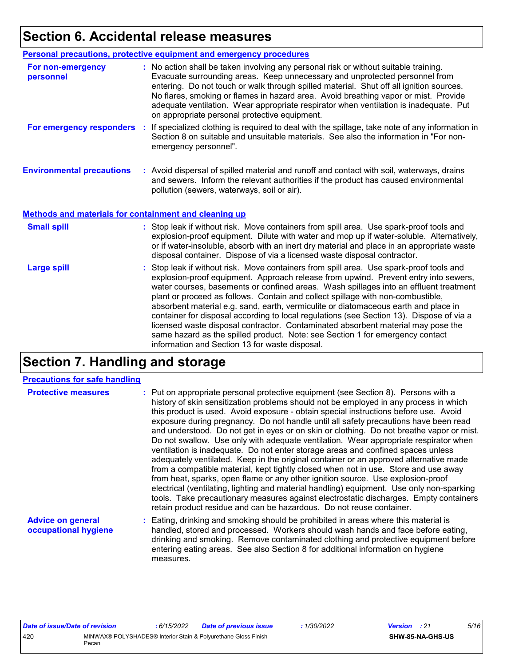## **Section 6. Accidental release measures**

|                                                              | Personal precautions, protective equipment and emergency procedures                                                                                                                                                                                                                                                                                                                                                                                                                             |
|--------------------------------------------------------------|-------------------------------------------------------------------------------------------------------------------------------------------------------------------------------------------------------------------------------------------------------------------------------------------------------------------------------------------------------------------------------------------------------------------------------------------------------------------------------------------------|
| For non-emergency<br>personnel                               | : No action shall be taken involving any personal risk or without suitable training.<br>Evacuate surrounding areas. Keep unnecessary and unprotected personnel from<br>entering. Do not touch or walk through spilled material. Shut off all ignition sources.<br>No flares, smoking or flames in hazard area. Avoid breathing vapor or mist. Provide<br>adequate ventilation. Wear appropriate respirator when ventilation is inadequate. Put<br>on appropriate personal protective equipment. |
| For emergency responders                                     | : If specialized clothing is required to deal with the spillage, take note of any information in<br>Section 8 on suitable and unsuitable materials. See also the information in "For non-<br>emergency personnel".                                                                                                                                                                                                                                                                              |
| <b>Environmental precautions</b>                             | : Avoid dispersal of spilled material and runoff and contact with soil, waterways, drains<br>and sewers. Inform the relevant authorities if the product has caused environmental<br>pollution (sewers, waterways, soil or air).                                                                                                                                                                                                                                                                 |
| <b>Methods and materials for containment and cleaning up</b> |                                                                                                                                                                                                                                                                                                                                                                                                                                                                                                 |
| <b>Small spill</b>                                           | : Stop leak if without risk. Move containers from spill area. Use spark-proof tools and<br>explosion-proof equipment. Dilute with water and mop up if water-soluble. Alternatively,<br>or if water-insoluble, absorb with an inert dry material and place in an appropriate waste                                                                                                                                                                                                               |
|                                                              | disposal container. Dispose of via a licensed waste disposal contractor.                                                                                                                                                                                                                                                                                                                                                                                                                        |

## **Section 7. Handling and storage**

#### **Precautions for safe handling**

| <b>Protective measures</b>                       | : Put on appropriate personal protective equipment (see Section 8). Persons with a<br>history of skin sensitization problems should not be employed in any process in which<br>this product is used. Avoid exposure - obtain special instructions before use. Avoid<br>exposure during pregnancy. Do not handle until all safety precautions have been read<br>and understood. Do not get in eyes or on skin or clothing. Do not breathe vapor or mist.<br>Do not swallow. Use only with adequate ventilation. Wear appropriate respirator when<br>ventilation is inadequate. Do not enter storage areas and confined spaces unless<br>adequately ventilated. Keep in the original container or an approved alternative made<br>from a compatible material, kept tightly closed when not in use. Store and use away<br>from heat, sparks, open flame or any other ignition source. Use explosion-proof<br>electrical (ventilating, lighting and material handling) equipment. Use only non-sparking<br>tools. Take precautionary measures against electrostatic discharges. Empty containers<br>retain product residue and can be hazardous. Do not reuse container. |
|--------------------------------------------------|----------------------------------------------------------------------------------------------------------------------------------------------------------------------------------------------------------------------------------------------------------------------------------------------------------------------------------------------------------------------------------------------------------------------------------------------------------------------------------------------------------------------------------------------------------------------------------------------------------------------------------------------------------------------------------------------------------------------------------------------------------------------------------------------------------------------------------------------------------------------------------------------------------------------------------------------------------------------------------------------------------------------------------------------------------------------------------------------------------------------------------------------------------------------|
| <b>Advice on general</b><br>occupational hygiene | : Eating, drinking and smoking should be prohibited in areas where this material is<br>handled, stored and processed. Workers should wash hands and face before eating,<br>drinking and smoking. Remove contaminated clothing and protective equipment before                                                                                                                                                                                                                                                                                                                                                                                                                                                                                                                                                                                                                                                                                                                                                                                                                                                                                                        |

measures.

entering eating areas. See also Section 8 for additional information on hygiene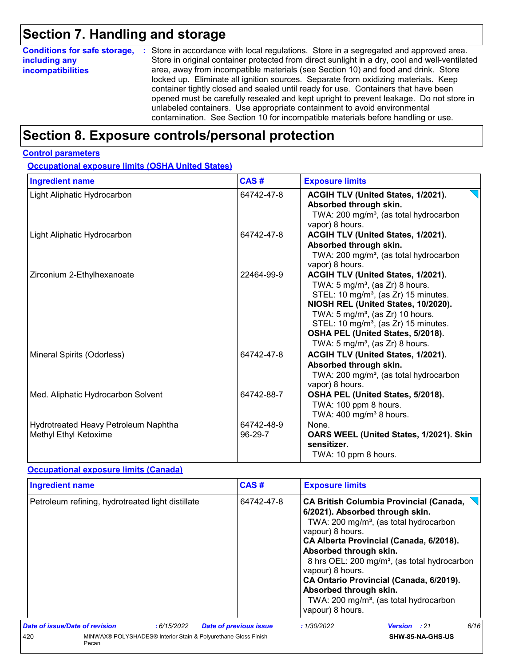## **Section 7. Handling and storage**

| <b>Conditions for safe storage,</b> | : Store in accordance with local regulations. Store in a segregated and approved area.        |
|-------------------------------------|-----------------------------------------------------------------------------------------------|
| including any                       | Store in original container protected from direct sunlight in a dry, cool and well-ventilated |
| <b>incompatibilities</b>            | area, away from incompatible materials (see Section 10) and food and drink. Store             |
|                                     | locked up. Eliminate all ignition sources. Separate from oxidizing materials. Keep            |
|                                     | container tightly closed and sealed until ready for use. Containers that have been            |
|                                     | opened must be carefully resealed and kept upright to prevent leakage. Do not store in        |
|                                     | unlabeled containers. Use appropriate containment to avoid environmental                      |
|                                     | contamination. See Section 10 for incompatible materials before handling or use.              |

## **Section 8. Exposure controls/personal protection**

#### **Control parameters**

**Occupational exposure limits (OSHA United States)**

| <b>Ingredient name</b>                                        | CAS#                  | <b>Exposure limits</b>                                                                                                                                                                                                                                                                                                                                            |
|---------------------------------------------------------------|-----------------------|-------------------------------------------------------------------------------------------------------------------------------------------------------------------------------------------------------------------------------------------------------------------------------------------------------------------------------------------------------------------|
| Light Aliphatic Hydrocarbon                                   | 64742-47-8            | ACGIH TLV (United States, 1/2021).<br>Absorbed through skin.<br>TWA: 200 mg/m <sup>3</sup> , (as total hydrocarbon<br>vapor) 8 hours.                                                                                                                                                                                                                             |
| Light Aliphatic Hydrocarbon                                   | 64742-47-8            | ACGIH TLV (United States, 1/2021).<br>Absorbed through skin.<br>TWA: 200 mg/m <sup>3</sup> , (as total hydrocarbon<br>vapor) 8 hours.                                                                                                                                                                                                                             |
| Zirconium 2-Ethylhexanoate                                    | 22464-99-9            | ACGIH TLV (United States, 1/2021).<br>TWA: $5 \text{ mg/m}^3$ , (as Zr) 8 hours.<br>STEL: 10 mg/m <sup>3</sup> , (as Zr) 15 minutes.<br>NIOSH REL (United States, 10/2020).<br>TWA: $5 \text{ mg/m}^3$ , (as Zr) 10 hours.<br>STEL: 10 mg/m <sup>3</sup> , (as Zr) 15 minutes.<br>OSHA PEL (United States, 5/2018).<br>TWA: $5 \text{ mg/m}^3$ , (as Zr) 8 hours. |
| Mineral Spirits (Odorless)                                    | 64742-47-8            | ACGIH TLV (United States, 1/2021).<br>Absorbed through skin.<br>TWA: 200 mg/m <sup>3</sup> , (as total hydrocarbon<br>vapor) 8 hours.                                                                                                                                                                                                                             |
| Med. Aliphatic Hydrocarbon Solvent                            | 64742-88-7            | OSHA PEL (United States, 5/2018).<br>TWA: 100 ppm 8 hours.<br>TWA: $400 \text{ mg/m}^3$ 8 hours.                                                                                                                                                                                                                                                                  |
| Hydrotreated Heavy Petroleum Naphtha<br>Methyl Ethyl Ketoxime | 64742-48-9<br>96-29-7 | None.<br>OARS WEEL (United States, 1/2021). Skin<br>sensitizer.<br>TWA: 10 ppm 8 hours.                                                                                                                                                                                                                                                                           |

#### **Occupational exposure limits (Canada)**

| <b>Ingredient name</b>                                                         |                                                   |            | CAS#                          | <b>Exposure limits</b> |                                                                                                              |                                                                                                                                                                                                                                                                                                                                                 |      |
|--------------------------------------------------------------------------------|---------------------------------------------------|------------|-------------------------------|------------------------|--------------------------------------------------------------------------------------------------------------|-------------------------------------------------------------------------------------------------------------------------------------------------------------------------------------------------------------------------------------------------------------------------------------------------------------------------------------------------|------|
|                                                                                | Petroleum refining, hydrotreated light distillate |            |                               | 64742-47-8             | vapour) 8 hours.<br>Absorbed through skin.<br>vapour) 8 hours.<br>Absorbed through skin.<br>vapour) 8 hours. | <b>CA British Columbia Provincial (Canada,</b><br>6/2021). Absorbed through skin.<br>TWA: 200 mg/m <sup>3</sup> , (as total hydrocarbon<br>CA Alberta Provincial (Canada, 6/2018).<br>8 hrs OEL: 200 mg/m <sup>3</sup> , (as total hydrocarbon<br>CA Ontario Provincial (Canada, 6/2019).<br>TWA: 200 mg/m <sup>3</sup> , (as total hydrocarbon |      |
| Date of issue/Date of revision                                                 |                                                   | :6/15/2022 | <b>Date of previous issue</b> |                        | :1/30/2022                                                                                                   | <b>Version</b> : 21                                                                                                                                                                                                                                                                                                                             | 6/16 |
| MINWAX® POLYSHADES® Interior Stain & Polyurethane Gloss Finish<br>420<br>Pecan |                                                   |            |                               |                        | SHW-85-NA-GHS-US                                                                                             |                                                                                                                                                                                                                                                                                                                                                 |      |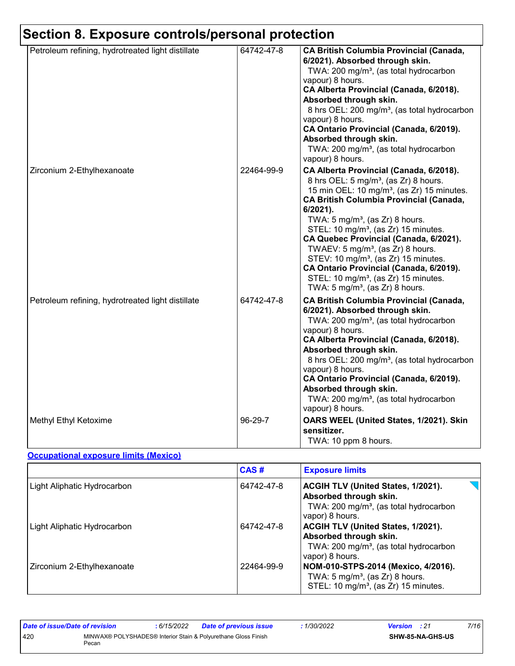#### **Section 8. Exposure controls/personal protection** Petroleum refining, hydrotreated light distillate 64742-47-8 **CA British Columbia Provincial (Canada, 6/2021). Absorbed through skin.** TWA: 200 mg/m<sup>3</sup>, (as total hydrocarbon vapour) 8 hours. **CA Alberta Provincial (Canada, 6/2018). Absorbed through skin.** 8 hrs OEL: 200 mg/m<sup>3</sup>, (as total hydrocarbon vapour) 8 hours. **CA Ontario Provincial (Canada, 6/2019). Absorbed through skin.** TWA: 200 mg/m<sup>3</sup>, (as total hydrocarbon vapour) 8 hours. Zirconium 2-Ethylhexanoate 22464-99-9 **CA Alberta Provincial (Canada, 6/2018).** 8 hrs OEL:  $5 \text{ mg/m}^3$ , (as Zr) 8 hours. 15 min OEL:  $10 \text{ mg/m}^3$ , (as Zr) 15 minutes. **CA British Columbia Provincial (Canada, 6/2021).** TWA:  $5 \text{ mg/m}^3$ , (as Zr) 8 hours. STEL: 10 mg/m<sup>3</sup>, (as Zr) 15 minutes. **CA Quebec Provincial (Canada, 6/2021).** TWAEV:  $5 \text{ mg/m}^3$ , (as Zr) 8 hours. STEV: 10 mg/m<sup>3</sup>, (as Zr) 15 minutes. **CA Ontario Provincial (Canada, 6/2019).** STEL:  $10 \text{ mg/m}^3$ , (as Zr) 15 minutes. TWA:  $5 \text{ mg/m}^3$ , (as Zr) 8 hours. Petroleum refining, hydrotreated light distillate 64742-47-8 **CA British Columbia Provincial (Canada, 6/2021). Absorbed through skin.** TWA: 200 mg/m<sup>3</sup>, (as total hydrocarbon vapour) 8 hours. **CA Alberta Provincial (Canada, 6/2018). Absorbed through skin.** 8 hrs OEL: 200 mg/m<sup>3</sup>, (as total hydrocarbon vapour) 8 hours. **CA Ontario Provincial (Canada, 6/2019). Absorbed through skin.** TWA: 200 mg/m<sup>3</sup>, (as total hydrocarbon vapour) 8 hours. Methyl Ethyl Ketoxime **Company of Company 196-29-7 OARS WEEL (United States, 1/2021). Skin sensitizer.**

#### **Occupational exposure limits (Mexico)**

|                                    | CAS#       | <b>Exposure limits</b>                                                                                                                |
|------------------------------------|------------|---------------------------------------------------------------------------------------------------------------------------------------|
| Light Aliphatic Hydrocarbon        | 64742-47-8 | ACGIH TLV (United States, 1/2021).<br>Absorbed through skin.<br>TWA: 200 mg/m <sup>3</sup> , (as total hydrocarbon<br>vapor) 8 hours. |
| <b>Light Aliphatic Hydrocarbon</b> | 64742-47-8 | ACGIH TLV (United States, 1/2021).<br>Absorbed through skin.<br>TWA: 200 mg/m <sup>3</sup> , (as total hydrocarbon<br>vapor) 8 hours. |
| Zirconium 2-Ethylhexanoate         | 22464-99-9 | NOM-010-STPS-2014 (Mexico, 4/2016).<br>TWA: $5 \text{ mg/m}^3$ , (as Zr) 8 hours.<br>STEL: 10 mg/m <sup>3</sup> , (as Zr) 15 minutes. |

TWA: 10 ppm 8 hours.

| Date of issue/Date of revision |       | 6/15/2022 | <b>Date of previous issue</b>                                  | <i>1/30/2022</i> | <b>Version</b> : 21 |                         | 7/16 |
|--------------------------------|-------|-----------|----------------------------------------------------------------|------------------|---------------------|-------------------------|------|
| 420                            | Pecan |           | MINWAX® POLYSHADES® Interior Stain & Polyurethane Gloss Finish |                  |                     | <b>SHW-85-NA-GHS-US</b> |      |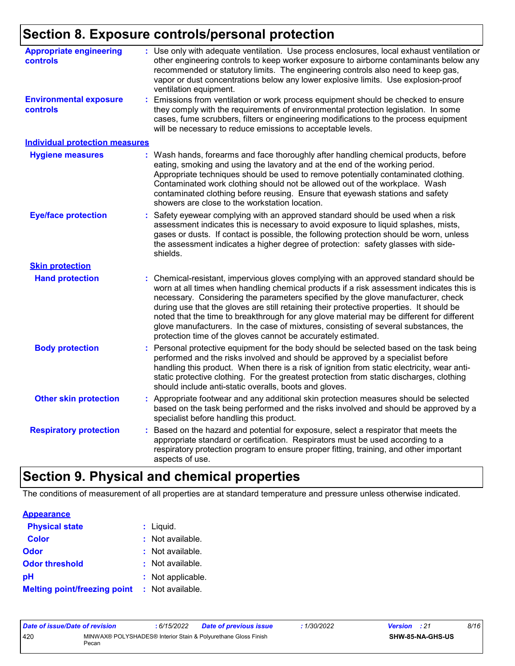## **Section 8. Exposure controls/personal protection**

| <b>Appropriate engineering</b><br>controls       | : Use only with adequate ventilation. Use process enclosures, local exhaust ventilation or<br>other engineering controls to keep worker exposure to airborne contaminants below any<br>recommended or statutory limits. The engineering controls also need to keep gas,<br>vapor or dust concentrations below any lower explosive limits. Use explosion-proof<br>ventilation equipment.                                                                                                                                                                                                                              |
|--------------------------------------------------|----------------------------------------------------------------------------------------------------------------------------------------------------------------------------------------------------------------------------------------------------------------------------------------------------------------------------------------------------------------------------------------------------------------------------------------------------------------------------------------------------------------------------------------------------------------------------------------------------------------------|
| <b>Environmental exposure</b><br><b>controls</b> | Emissions from ventilation or work process equipment should be checked to ensure<br>they comply with the requirements of environmental protection legislation. In some<br>cases, fume scrubbers, filters or engineering modifications to the process equipment<br>will be necessary to reduce emissions to acceptable levels.                                                                                                                                                                                                                                                                                        |
| <b>Individual protection measures</b>            |                                                                                                                                                                                                                                                                                                                                                                                                                                                                                                                                                                                                                      |
| <b>Hygiene measures</b>                          | : Wash hands, forearms and face thoroughly after handling chemical products, before<br>eating, smoking and using the lavatory and at the end of the working period.<br>Appropriate techniques should be used to remove potentially contaminated clothing.<br>Contaminated work clothing should not be allowed out of the workplace. Wash<br>contaminated clothing before reusing. Ensure that eyewash stations and safety<br>showers are close to the workstation location.                                                                                                                                          |
| <b>Eye/face protection</b>                       | Safety eyewear complying with an approved standard should be used when a risk<br>assessment indicates this is necessary to avoid exposure to liquid splashes, mists,<br>gases or dusts. If contact is possible, the following protection should be worn, unless<br>the assessment indicates a higher degree of protection: safety glasses with side-<br>shields.                                                                                                                                                                                                                                                     |
| <b>Skin protection</b>                           |                                                                                                                                                                                                                                                                                                                                                                                                                                                                                                                                                                                                                      |
| <b>Hand protection</b>                           | Chemical-resistant, impervious gloves complying with an approved standard should be<br>worn at all times when handling chemical products if a risk assessment indicates this is<br>necessary. Considering the parameters specified by the glove manufacturer, check<br>during use that the gloves are still retaining their protective properties. It should be<br>noted that the time to breakthrough for any glove material may be different for different<br>glove manufacturers. In the case of mixtures, consisting of several substances, the<br>protection time of the gloves cannot be accurately estimated. |
| <b>Body protection</b>                           | Personal protective equipment for the body should be selected based on the task being<br>performed and the risks involved and should be approved by a specialist before<br>handling this product. When there is a risk of ignition from static electricity, wear anti-<br>static protective clothing. For the greatest protection from static discharges, clothing<br>should include anti-static overalls, boots and gloves.                                                                                                                                                                                         |
| <b>Other skin protection</b>                     | Appropriate footwear and any additional skin protection measures should be selected<br>based on the task being performed and the risks involved and should be approved by a<br>specialist before handling this product.                                                                                                                                                                                                                                                                                                                                                                                              |
| <b>Respiratory protection</b>                    | Based on the hazard and potential for exposure, select a respirator that meets the<br>appropriate standard or certification. Respirators must be used according to a<br>respiratory protection program to ensure proper fitting, training, and other important<br>aspects of use.                                                                                                                                                                                                                                                                                                                                    |
|                                                  |                                                                                                                                                                                                                                                                                                                                                                                                                                                                                                                                                                                                                      |

## **Section 9. Physical and chemical properties**

The conditions of measurement of all properties are at standard temperature and pressure unless otherwise indicated.

| <b>Appearance</b>                   |                   |
|-------------------------------------|-------------------|
| <b>Physical state</b>               | $:$ Liquid.       |
| <b>Color</b>                        | : Not available.  |
| <b>Odor</b>                         | : Not available.  |
| <b>Odor threshold</b>               | : Not available.  |
| рH                                  | : Not applicable. |
| <b>Melting point/freezing point</b> | : Not available.  |

| Date of issue/Date of revision |       | : 6/15/2022 | <b>Date of previous issue</b>                                  | 1/30/2022 | <b>Version</b> : 21 |                  | 8/16 |
|--------------------------------|-------|-------------|----------------------------------------------------------------|-----------|---------------------|------------------|------|
| 420                            | Pecan |             | MINWAX® POLYSHADES® Interior Stain & Polyurethane Gloss Finish |           |                     | SHW-85-NA-GHS-US |      |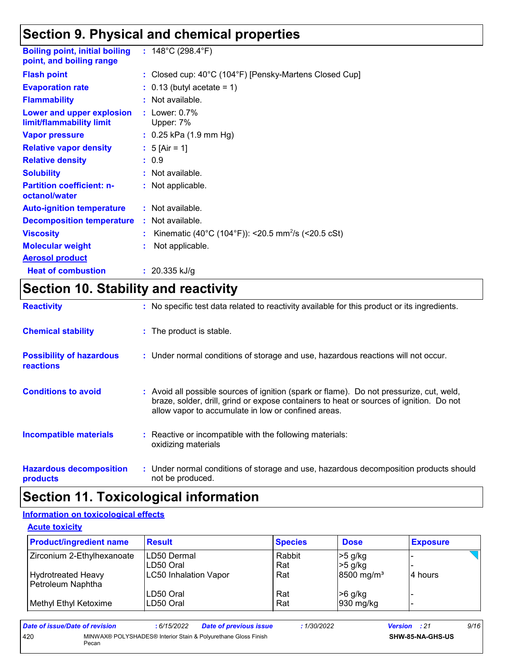## **Section 9. Physical and chemical properties**

| <b>Boiling point, initial boiling</b><br>point, and boiling range | : $148^{\circ}$ C (298.4 $^{\circ}$ F)                         |
|-------------------------------------------------------------------|----------------------------------------------------------------|
| <b>Flash point</b>                                                | : Closed cup: 40°C (104°F) [Pensky-Martens Closed Cup]         |
| <b>Evaporation rate</b>                                           | $\therefore$ 0.13 (butyl acetate = 1)                          |
| <b>Flammability</b>                                               | : Not available.                                               |
| Lower and upper explosion<br>limit/flammability limit             | : Lower: $0.7\%$<br>Upper: 7%                                  |
| <b>Vapor pressure</b>                                             | $: 0.25$ kPa (1.9 mm Hg)                                       |
| <b>Relative vapor density</b>                                     | : 5 [Air = 1]                                                  |
| <b>Relative density</b>                                           | : 0.9                                                          |
| <b>Solubility</b>                                                 | : Not available.                                               |
| <b>Partition coefficient: n-</b><br>octanol/water                 | : Not applicable.                                              |
| <b>Auto-ignition temperature</b>                                  | : Not available.                                               |
| <b>Decomposition temperature</b>                                  | : Not available.                                               |
| <b>Viscosity</b>                                                  | Kinematic (40°C (104°F)): <20.5 mm <sup>2</sup> /s (<20.5 cSt) |
| <b>Molecular weight</b>                                           | Not applicable.                                                |
| <b>Aerosol product</b>                                            |                                                                |
| <b>Heat of combustion</b>                                         | : $20.335$ kJ/g                                                |

## **Section 10. Stability and reactivity**

| <b>Reactivity</b>                                   | : No specific test data related to reactivity available for this product or its ingredients.                                                                                                                                               |  |
|-----------------------------------------------------|--------------------------------------------------------------------------------------------------------------------------------------------------------------------------------------------------------------------------------------------|--|
| <b>Chemical stability</b>                           | : The product is stable.                                                                                                                                                                                                                   |  |
| <b>Possibility of hazardous</b><br><b>reactions</b> | : Under normal conditions of storage and use, hazardous reactions will not occur.                                                                                                                                                          |  |
| <b>Conditions to avoid</b>                          | : Avoid all possible sources of ignition (spark or flame). Do not pressurize, cut, weld,<br>braze, solder, drill, grind or expose containers to heat or sources of ignition. Do not<br>allow vapor to accumulate in low or confined areas. |  |
| <b>Incompatible materials</b>                       | : Reactive or incompatible with the following materials:<br>oxidizing materials                                                                                                                                                            |  |
| <b>Hazardous decomposition</b><br>products          | : Under normal conditions of storage and use, hazardous decomposition products should<br>not be produced.                                                                                                                                  |  |

### **Section 11. Toxicological information**

#### **Information on toxicological effects**

#### **Acute toxicity**

| <b>Product/ingredient name</b> | <b>Result</b>                | <b>Species</b> | <b>Dose</b>              | <b>Exposure</b> |
|--------------------------------|------------------------------|----------------|--------------------------|-----------------|
| Zirconium 2-Ethylhexanoate     | ILD50 Dermal                 | Rabbit         | >5 g/kg                  |                 |
|                                | LD50 Oral                    | Rat            | $>5$ g/kg                |                 |
| Hydrotreated Heavy             | <b>LC50 Inhalation Vapor</b> | Rat            | $8500$ mg/m <sup>3</sup> | l4 hours        |
| Petroleum Naphtha              |                              |                |                          |                 |
|                                | LD50 Oral                    | Rat            | $>6$ g/kg                |                 |
| Methyl Ethyl Ketoxime          | LD50 Oral                    | Rat            | 930 mg/kg                |                 |

| Date of issue/Date of revision |                                                                         | : 6/15/2022 | <b>Date of previous issue</b> | : 1/30/2022 | <b>Version</b> : 21 |                         | 9/16 |
|--------------------------------|-------------------------------------------------------------------------|-------------|-------------------------------|-------------|---------------------|-------------------------|------|
| 420                            | MINWAX® POLYSHADES® Interior Stain & Polyurethane Gloss Finish<br>Pecan |             |                               |             |                     | <b>SHW-85-NA-GHS-US</b> |      |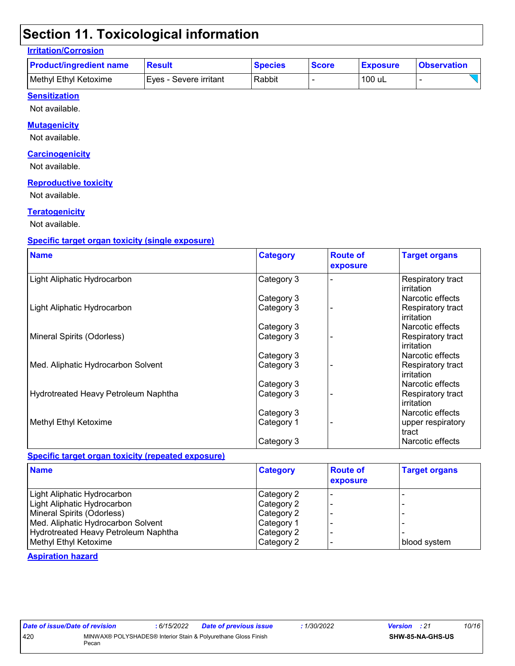## **Section 11. Toxicological information**

#### **Irritation/Corrosion**

| <b>Product/ingredient name</b> | <b>Result</b>           | <b>Species</b> | <b>Score</b> | <b>Exposure</b> | <b>Observation</b> |
|--------------------------------|-------------------------|----------------|--------------|-----------------|--------------------|
| Methyl Ethyl Ketoxime          | IEves - Severe irritant | Rabbit         |              | 100 uL          |                    |

#### **Sensitization**

Not available.

#### **Mutagenicity**

Not available.

#### **Carcinogenicity**

Not available.

#### **Reproductive toxicity**

Not available.

#### **Teratogenicity**

Not available.

#### **Specific target organ toxicity (single exposure)**

| <b>Name</b>                          | <b>Category</b> | <b>Route of</b><br>exposure | <b>Target organs</b>            |
|--------------------------------------|-----------------|-----------------------------|---------------------------------|
| Light Aliphatic Hydrocarbon          | Category 3      |                             | Respiratory tract<br>irritation |
|                                      | Category 3      |                             | Narcotic effects                |
| Light Aliphatic Hydrocarbon          | Category 3      |                             | Respiratory tract<br>irritation |
|                                      | Category 3      |                             | Narcotic effects                |
| Mineral Spirits (Odorless)           | Category 3      |                             | Respiratory tract<br>irritation |
|                                      | Category 3      |                             | Narcotic effects                |
| Med. Aliphatic Hydrocarbon Solvent   | Category 3      |                             | Respiratory tract<br>irritation |
|                                      | Category 3      |                             | Narcotic effects                |
| Hydrotreated Heavy Petroleum Naphtha | Category 3      |                             | Respiratory tract<br>irritation |
|                                      | Category 3      |                             | Narcotic effects                |
| Methyl Ethyl Ketoxime                | Category 1      |                             | upper respiratory<br>tract      |
|                                      | Category 3      |                             | Narcotic effects                |

#### **Specific target organ toxicity (repeated exposure)**

| <b>Name</b>                          | <b>Category</b> | <b>Route of</b><br>exposure | <b>Target organs</b> |
|--------------------------------------|-----------------|-----------------------------|----------------------|
| Light Aliphatic Hydrocarbon          | Category 2      |                             |                      |
| Light Aliphatic Hydrocarbon          | Category 2      |                             |                      |
| Mineral Spirits (Odorless)           | Category 2      |                             |                      |
| Med. Aliphatic Hydrocarbon Solvent   | Category 1      |                             |                      |
| Hydrotreated Heavy Petroleum Naphtha | Category 2      |                             |                      |
| Methyl Ethyl Ketoxime                | Category 2      |                             | blood system         |

#### **Aspiration hazard**

| Date of issue/Date of revision |       | : 6/15/2022 | <b>Date of previous issue</b>                                  | 1/30/2022 | <b>Version</b> : 21 |                  | 10/16 |
|--------------------------------|-------|-------------|----------------------------------------------------------------|-----------|---------------------|------------------|-------|
| 420                            | Pecan |             | MINWAX® POLYSHADES® Interior Stain & Polyurethane Gloss Finish |           |                     | SHW-85-NA-GHS-US |       |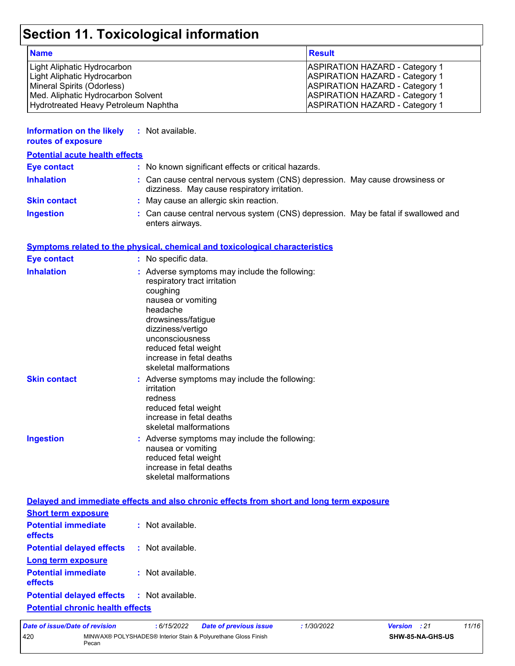## **Section 11. Toxicological information**

| <b>Name</b>                          | <b>Result</b>                         |
|--------------------------------------|---------------------------------------|
| Light Aliphatic Hydrocarbon          | <b>ASPIRATION HAZARD - Category 1</b> |
| Light Aliphatic Hydrocarbon          | <b>ASPIRATION HAZARD - Category 1</b> |
| Mineral Spirits (Odorless)           | <b>ASPIRATION HAZARD - Category 1</b> |
| Med. Aliphatic Hydrocarbon Solvent   | <b>ASPIRATION HAZARD - Category 1</b> |
| Hydrotreated Heavy Petroleum Naphtha | <b>ASPIRATION HAZARD - Category 1</b> |

| <b>Information on the likely</b><br>routes of exposure | : Not available.                                                                                                             |
|--------------------------------------------------------|------------------------------------------------------------------------------------------------------------------------------|
| <b>Potential acute health effects</b>                  |                                                                                                                              |
| Eye contact                                            | : No known significant effects or critical hazards.                                                                          |
| <b>Inhalation</b>                                      | : Can cause central nervous system (CNS) depression. May cause drowsiness or<br>dizziness. May cause respiratory irritation. |
| <b>Skin contact</b>                                    | : May cause an allergic skin reaction.                                                                                       |
| <b>Ingestion</b>                                       | : Can cause central nervous system (CNS) depression. May be fatal if swallowed and                                           |

#### **Symptoms related to the physical, chemical and toxicological characteristics**

enters airways.

| <b>Eye contact</b>  | : No specific data.                                                                                                                                                                                                                                                     |
|---------------------|-------------------------------------------------------------------------------------------------------------------------------------------------------------------------------------------------------------------------------------------------------------------------|
| <b>Inhalation</b>   | : Adverse symptoms may include the following:<br>respiratory tract irritation<br>coughing<br>nausea or vomiting<br>headache<br>drowsiness/fatigue<br>dizziness/vertigo<br>unconsciousness<br>reduced fetal weight<br>increase in fetal deaths<br>skeletal malformations |
| <b>Skin contact</b> | : Adverse symptoms may include the following:<br>irritation<br>redness<br>reduced fetal weight<br>increase in fetal deaths<br>skeletal malformations                                                                                                                    |
| <b>Ingestion</b>    | : Adverse symptoms may include the following:<br>nausea or vomiting<br>reduced fetal weight<br>increase in fetal deaths<br>skeletal malformations                                                                                                                       |

|                                                               | Delayed and immediate effects and also chronic effects from short and long term exposure |
|---------------------------------------------------------------|------------------------------------------------------------------------------------------|
| <b>Short term exposure</b>                                    |                                                                                          |
| <b>Potential immediate : Not available.</b><br><b>effects</b> |                                                                                          |
| <b>Potential delayed effects : Not available.</b>             |                                                                                          |
| <b>Long term exposure</b>                                     |                                                                                          |
| <b>Potential immediate : Not available.</b><br><b>effects</b> |                                                                                          |
| <b>Potential delayed effects : Not available.</b>             |                                                                                          |
| <b>Potential chronic health effects</b>                       |                                                                                          |

| Date of issue/Date of revision                                                 |  | : 6/15/2022 | <b>Date of previous issue</b> | 1/30/2022 | <b>Version</b> : 21 | 11/16 |
|--------------------------------------------------------------------------------|--|-------------|-------------------------------|-----------|---------------------|-------|
| 420<br>MINWAX® POLYSHADES® Interior Stain & Polyurethane Gloss Finish<br>Pecan |  |             | <b>SHW-85-NA-GHS-US</b>       |           |                     |       |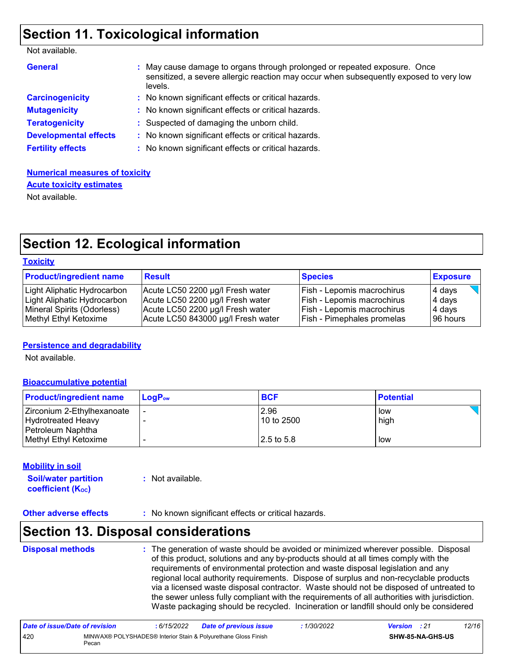## **Section 11. Toxicological information**

| <b>General</b>               | : May cause damage to organs through prolonged or repeated exposure. Once<br>sensitized, a severe allergic reaction may occur when subsequently exposed to very low<br>levels. |
|------------------------------|--------------------------------------------------------------------------------------------------------------------------------------------------------------------------------|
| <b>Carcinogenicity</b>       | : No known significant effects or critical hazards.                                                                                                                            |
| <b>Mutagenicity</b>          | : No known significant effects or critical hazards.                                                                                                                            |
| <b>Teratogenicity</b>        | : Suspected of damaging the unborn child.                                                                                                                                      |
| <b>Developmental effects</b> | : No known significant effects or critical hazards.                                                                                                                            |
| <b>Fertility effects</b>     | : No known significant effects or critical hazards.                                                                                                                            |
|                              |                                                                                                                                                                                |

### **Numerical measures of toxicity Acute toxicity estimates**

Not available.

## **Section 12. Ecological information**

| <b>Toxicity</b> |
|-----------------|
|-----------------|

| <b>Product/ingredient name</b> | <b>Result</b>                      | <b>Species</b>                    | <b>Exposure</b> |
|--------------------------------|------------------------------------|-----------------------------------|-----------------|
| Light Aliphatic Hydrocarbon    | Acute LC50 2200 µg/l Fresh water   | Fish - Lepomis macrochirus        | 4 days          |
| Light Aliphatic Hydrocarbon    | Acute LC50 2200 µg/l Fresh water   | Fish - Lepomis macrochirus        | 4 days          |
| Mineral Spirits (Odorless)     | Acute LC50 2200 µg/l Fresh water   | Fish - Lepomis macrochirus        | 4 days          |
| Methyl Ethyl Ketoxime          | Acute LC50 843000 µg/l Fresh water | <b>Fish - Pimephales promelas</b> | 96 hours        |

#### **Persistence and degradability**

Not available.

#### **Bioaccumulative potential**

| <b>Product/ingredient name</b> | <b>LogP</b> <sub>ow</sub> | <b>BCF</b> | <b>Potential</b> |
|--------------------------------|---------------------------|------------|------------------|
| Zirconium 2-Ethylhexanoate     |                           | 2.96       | low              |
| Hydrotreated Heavy             |                           | 10 to 2500 | high             |
| Petroleum Naphtha              |                           |            |                  |
| Methyl Ethyl Ketoxime          |                           | 2.5 to 5.8 | low              |

#### **Mobility in soil**

**Soil/water partition coefficient (Koc) :** Not available.

**Other adverse effects** : No known significant effects or critical hazards.

## **Section 13. Disposal considerations**

#### The generation of waste should be avoided or minimized wherever possible. Disposal of this product, solutions and any by-products should at all times comply with the requirements of environmental protection and waste disposal legislation and any regional local authority requirements. Dispose of surplus and non-recyclable products via a licensed waste disposal contractor. Waste should not be disposed of untreated to the sewer unless fully compliant with the requirements of all authorities with jurisdiction. Waste packaging should be recycled. Incineration or landfill should only be considered **Disposal methods :**

| Date of issue/Date of revision |                                                                         | : 6/15/2022 | <b>Date of previous issue</b> | : 1/30/2022 | <b>Version</b> : 21 |                         | 12/16 |
|--------------------------------|-------------------------------------------------------------------------|-------------|-------------------------------|-------------|---------------------|-------------------------|-------|
| 420                            | MINWAX® POLYSHADES® Interior Stain & Polyurethane Gloss Finish<br>Pecan |             |                               |             |                     | <b>SHW-85-NA-GHS-US</b> |       |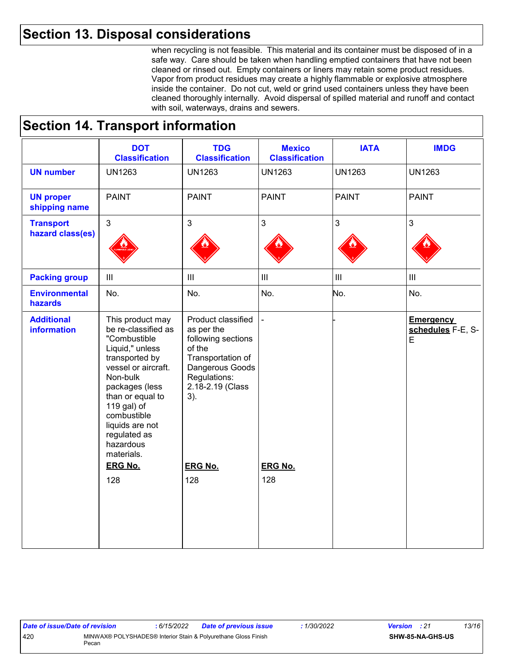### **Section 13. Disposal considerations**

when recycling is not feasible. This material and its container must be disposed of in a safe way. Care should be taken when handling emptied containers that have not been cleaned or rinsed out. Empty containers or liners may retain some product residues. Vapor from product residues may create a highly flammable or explosive atmosphere inside the container. Do not cut, weld or grind used containers unless they have been cleaned thoroughly internally. Avoid dispersal of spilled material and runoff and contact with soil, waterways, drains and sewers.

### **Section 14. Transport information**

|                                         | <b>DOT</b><br><b>Classification</b>                                                                                                                                                                                                                               | <b>TDG</b><br><b>Classification</b>                                                                                                                 | <b>Mexico</b><br><b>Classification</b> | <b>IATA</b>        | <b>IMDG</b>                                          |
|-----------------------------------------|-------------------------------------------------------------------------------------------------------------------------------------------------------------------------------------------------------------------------------------------------------------------|-----------------------------------------------------------------------------------------------------------------------------------------------------|----------------------------------------|--------------------|------------------------------------------------------|
| <b>UN number</b>                        | <b>UN1263</b>                                                                                                                                                                                                                                                     | <b>UN1263</b>                                                                                                                                       | <b>UN1263</b>                          | <b>UN1263</b>      | <b>UN1263</b>                                        |
| <b>UN proper</b><br>shipping name       | <b>PAINT</b>                                                                                                                                                                                                                                                      | <b>PAINT</b>                                                                                                                                        | <b>PAINT</b>                           | <b>PAINT</b>       | <b>PAINT</b>                                         |
| <b>Transport</b><br>hazard class(es)    | $\mathfrak{S}$                                                                                                                                                                                                                                                    | $\mathfrak{S}$                                                                                                                                      | 3                                      | 3                  | $\mathfrak{S}$                                       |
| <b>Packing group</b>                    | III                                                                                                                                                                                                                                                               | $\  \ $                                                                                                                                             | $\mathop{\rm III}$                     | $\mathop{\rm III}$ | $\ensuremath{\mathsf{III}}\xspace$                   |
| <b>Environmental</b><br>hazards         | No.                                                                                                                                                                                                                                                               | No.                                                                                                                                                 | No.                                    | No.                | No.                                                  |
| <b>Additional</b><br><b>information</b> | This product may<br>be re-classified as<br>"Combustible<br>Liquid," unless<br>transported by<br>vessel or aircraft.<br>Non-bulk<br>packages (less<br>than or equal to<br>119 gal) of<br>combustible<br>liquids are not<br>regulated as<br>hazardous<br>materials. | Product classified<br>as per the<br>following sections<br>of the<br>Transportation of<br>Dangerous Goods<br>Regulations:<br>2.18-2.19 (Class<br>3). |                                        |                    | <b>Emergency</b><br>schedules F-E, S-<br>$\mathsf E$ |
|                                         | <b>ERG No.</b><br>128                                                                                                                                                                                                                                             | <b>ERG No.</b><br>128                                                                                                                               | <b>ERG No.</b><br>128                  |                    |                                                      |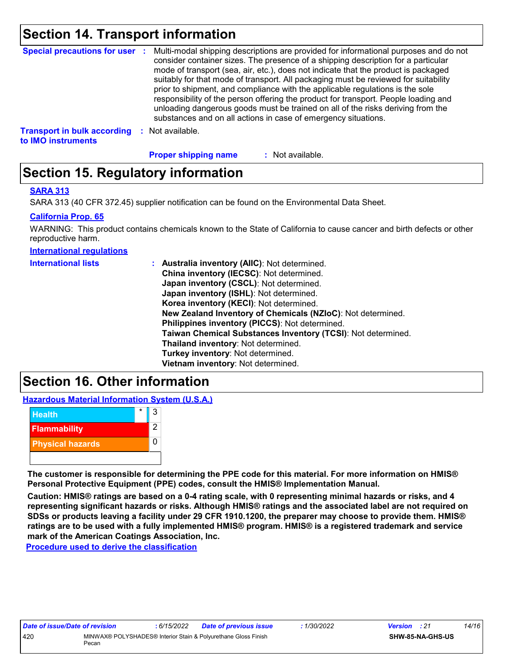### **Section 14. Transport information**

|                                    | Special precautions for user : Multi-modal shipping descriptions are provided for informational purposes and do not<br>consider container sizes. The presence of a shipping description for a particular<br>mode of transport (sea, air, etc.), does not indicate that the product is packaged<br>suitably for that mode of transport. All packaging must be reviewed for suitability<br>prior to shipment, and compliance with the applicable regulations is the sole<br>responsibility of the person offering the product for transport. People loading and<br>unloading dangerous goods must be trained on all of the risks deriving from the<br>substances and on all actions in case of emergency situations. |
|------------------------------------|--------------------------------------------------------------------------------------------------------------------------------------------------------------------------------------------------------------------------------------------------------------------------------------------------------------------------------------------------------------------------------------------------------------------------------------------------------------------------------------------------------------------------------------------------------------------------------------------------------------------------------------------------------------------------------------------------------------------|
| <b>Transport in bulk according</b> | Not available.                                                                                                                                                                                                                                                                                                                                                                                                                                                                                                                                                                                                                                                                                                     |

**to IMO instruments**

**Proper shipping name :**

: Not available.

## **Section 15. Regulatory information**

#### **SARA 313**

SARA 313 (40 CFR 372.45) supplier notification can be found on the Environmental Data Sheet.

#### **California Prop. 65**

WARNING: This product contains chemicals known to the State of California to cause cancer and birth defects or other reproductive harm.

**International regulations**

| <b>International lists</b> | : Australia inventory (AIIC): Not determined.<br>China inventory (IECSC): Not determined.<br>Japan inventory (CSCL): Not determined.<br>Japan inventory (ISHL): Not determined.<br>Korea inventory (KECI): Not determined.<br>New Zealand Inventory of Chemicals (NZIoC): Not determined.<br>Philippines inventory (PICCS): Not determined.<br>Taiwan Chemical Substances Inventory (TCSI): Not determined.<br>Thailand inventory: Not determined.<br>Turkey inventory: Not determined. |
|----------------------------|-----------------------------------------------------------------------------------------------------------------------------------------------------------------------------------------------------------------------------------------------------------------------------------------------------------------------------------------------------------------------------------------------------------------------------------------------------------------------------------------|
|                            | Vietnam inventory: Not determined.                                                                                                                                                                                                                                                                                                                                                                                                                                                      |
|                            |                                                                                                                                                                                                                                                                                                                                                                                                                                                                                         |

### **Section 16. Other information**

**Hazardous Material Information System (U.S.A.)**



**The customer is responsible for determining the PPE code for this material. For more information on HMIS® Personal Protective Equipment (PPE) codes, consult the HMIS® Implementation Manual.**

**Caution: HMIS® ratings are based on a 0-4 rating scale, with 0 representing minimal hazards or risks, and 4 representing significant hazards or risks. Although HMIS® ratings and the associated label are not required on SDSs or products leaving a facility under 29 CFR 1910.1200, the preparer may choose to provide them. HMIS® ratings are to be used with a fully implemented HMIS® program. HMIS® is a registered trademark and service mark of the American Coatings Association, Inc.**

**Procedure used to derive the classification**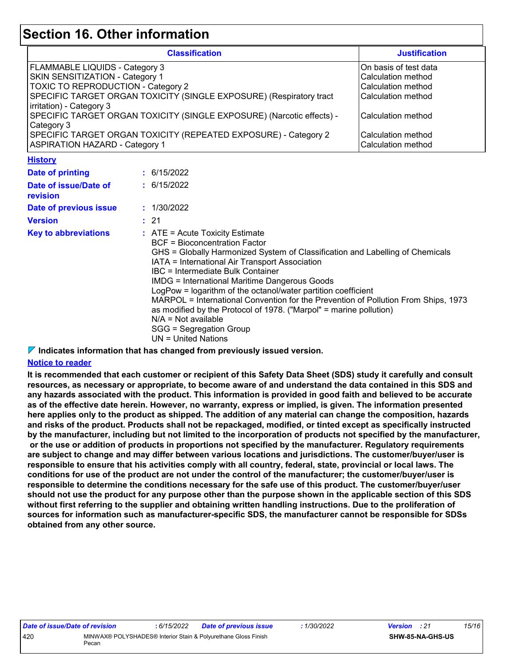### **Section 16. Other information**

| <b>Classification</b>                                                 | <b>Justification</b>   |
|-----------------------------------------------------------------------|------------------------|
| FLAMMABLE LIQUIDS - Category 3                                        | IOn basis of test data |
| <b>SKIN SENSITIZATION - Category 1</b>                                | l Calculation method   |
| TOXIC TO REPRODUCTION - Category 2                                    | Calculation method     |
| SPECIFIC TARGET ORGAN TOXICITY (SINGLE EXPOSURE) (Respiratory tract   | lCalculation method    |
| irritation) - Category 3                                              |                        |
| SPECIFIC TARGET ORGAN TOXICITY (SINGLE EXPOSURE) (Narcotic effects) - | lCalculation method    |
| Category 3                                                            |                        |
| SPECIFIC TARGET ORGAN TOXICITY (REPEATED EXPOSURE) - Category 2       | Calculation method     |
| <b>ASPIRATION HAZARD - Category 1</b>                                 | Calculation method     |

**History**

| <u>ношт</u>                       |                                                                                                                                                                                                                                                                                                                                                                                                                                                                                                                                                                                                                     |
|-----------------------------------|---------------------------------------------------------------------------------------------------------------------------------------------------------------------------------------------------------------------------------------------------------------------------------------------------------------------------------------------------------------------------------------------------------------------------------------------------------------------------------------------------------------------------------------------------------------------------------------------------------------------|
| Date of printing                  | : 6/15/2022                                                                                                                                                                                                                                                                                                                                                                                                                                                                                                                                                                                                         |
| Date of issue/Date of<br>revision | : 6/15/2022                                                                                                                                                                                                                                                                                                                                                                                                                                                                                                                                                                                                         |
| Date of previous issue            | : 1/30/2022                                                                                                                                                                                                                                                                                                                                                                                                                                                                                                                                                                                                         |
| <b>Version</b>                    | : 21                                                                                                                                                                                                                                                                                                                                                                                                                                                                                                                                                                                                                |
| <b>Key to abbreviations</b>       | $\therefore$ ATE = Acute Toxicity Estimate<br>BCF = Bioconcentration Factor<br>GHS = Globally Harmonized System of Classification and Labelling of Chemicals<br>IATA = International Air Transport Association<br>IBC = Intermediate Bulk Container<br><b>IMDG</b> = International Maritime Dangerous Goods<br>LogPow = logarithm of the octanol/water partition coefficient<br>MARPOL = International Convention for the Prevention of Pollution From Ships, 1973<br>as modified by the Protocol of 1978. ("Marpol" = marine pollution)<br>$N/A = Not available$<br>SGG = Segregation Group<br>UN = United Nations |

#### **Indicates information that has changed from previously issued version.**

#### **Notice to reader**

**It is recommended that each customer or recipient of this Safety Data Sheet (SDS) study it carefully and consult resources, as necessary or appropriate, to become aware of and understand the data contained in this SDS and any hazards associated with the product. This information is provided in good faith and believed to be accurate as of the effective date herein. However, no warranty, express or implied, is given. The information presented here applies only to the product as shipped. The addition of any material can change the composition, hazards and risks of the product. Products shall not be repackaged, modified, or tinted except as specifically instructed by the manufacturer, including but not limited to the incorporation of products not specified by the manufacturer, or the use or addition of products in proportions not specified by the manufacturer. Regulatory requirements are subject to change and may differ between various locations and jurisdictions. The customer/buyer/user is responsible to ensure that his activities comply with all country, federal, state, provincial or local laws. The conditions for use of the product are not under the control of the manufacturer; the customer/buyer/user is responsible to determine the conditions necessary for the safe use of this product. The customer/buyer/user should not use the product for any purpose other than the purpose shown in the applicable section of this SDS without first referring to the supplier and obtaining written handling instructions. Due to the proliferation of sources for information such as manufacturer-specific SDS, the manufacturer cannot be responsible for SDSs obtained from any other source.**